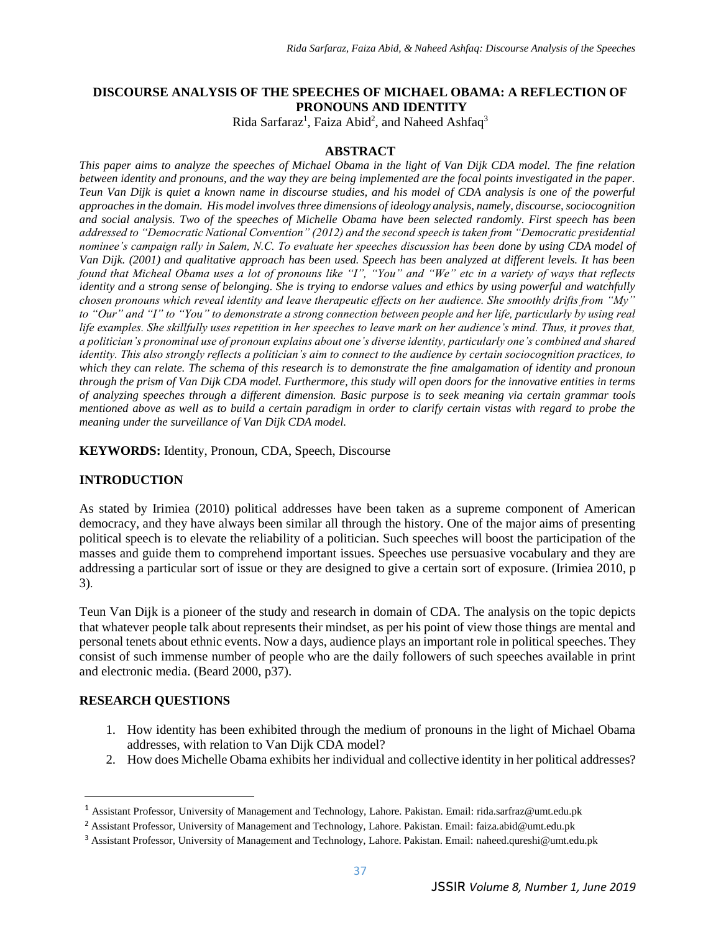# **DISCOURSE ANALYSIS OF THE SPEECHES OF MICHAEL OBAMA: A REFLECTION OF PRONOUNS AND IDENTITY**

Rida Sarfaraz<sup>1</sup>, Faiza Abid<sup>2</sup>, and Naheed Ashfaq<sup>3</sup>

#### **ABSTRACT**

*This paper aims to analyze the speeches of Michael Obama in the light of Van Dijk CDA model. The fine relation*  between identity and pronouns, and the way they are being implemented are the focal points investigated in the paper. *Teun Van Dijk is quiet a known name in discourse studies, and his model of CDA analysis is one of the powerful approaches in the domain. His model involves three dimensions of ideology analysis, namely, discourse, sociocognition and social analysis. Two of the speeches of Michelle Obama have been selected randomly. First speech has been addressed to "Democratic National Convention" (2012) and the second speech is taken from "Democratic presidential nominee's campaign rally in Salem, N.C. To evaluate her speeches discussion has been done by using CDA model of Van Dijk. (2001) and qualitative approach has been used. Speech has been analyzed at different levels. It has been found that Micheal Obama uses a lot of pronouns like "I", "You" and "We" etc in a variety of ways that reflects identity and a strong sense of belonging. She is trying to endorse values and ethics by using powerful and watchfully chosen pronouns which reveal identity and leave therapeutic effects on her audience. She smoothly drifts from "My"*  to "Our" and "I" to "You" to demonstrate a strong connection between people and her life, particularly by using real life examples. She skillfully uses repetition in her speeches to leave mark on her audience's mind. Thus, it proves that, *a politician's pronominal use of pronoun explains about one's diverse identity, particularly one's combined and shared identity. This also strongly reflects a politician's aim to connect to the audience by certain sociocognition practices, to which they can relate. The schema of this research is to demonstrate the fine amalgamation of identity and pronoun through the prism of Van Dijk CDA model. Furthermore, this study will open doors for the innovative entities in terms of analyzing speeches through a different dimension. Basic purpose is to seek meaning via certain grammar tools mentioned above as well as to build a certain paradigm in order to clarify certain vistas with regard to probe the meaning under the surveillance of Van Dijk CDA model.*

**KEYWORDS:** Identity, Pronoun, CDA, Speech, Discourse

### **INTRODUCTION**

As stated by Irimiea (2010) political addresses have been taken as a supreme component of American democracy, and they have always been similar all through the history. One of the major aims of presenting political speech is to elevate the reliability of a politician. Such speeches will boost the participation of the masses and guide them to comprehend important issues. Speeches use persuasive vocabulary and they are addressing a particular sort of issue or they are designed to give a certain sort of exposure. (Irimiea 2010, p 3)*.* 

Teun Van Dijk is a pioneer of the study and research in domain of CDA. The analysis on the topic depicts that whatever people talk about represents their mindset, as per his point of view those things are mental and personal tenets about ethnic events. Now a days, audience plays an important role in political speeches. They consist of such immense number of people who are the daily followers of such speeches available in print and electronic media. (Beard 2000, p37).

### **RESEARCH QUESTIONS**

 $\overline{\phantom{a}}$ 

- 1. How identity has been exhibited through the medium of pronouns in the light of Michael Obama addresses, with relation to Van Dijk CDA model?
- 2. How does Michelle Obama exhibits her individual and collective identity in her political addresses?

<sup>1</sup> Assistant Professor, University of Management and Technology, Lahore. Pakistan. Email: rida.sarfraz@umt.edu.pk

<sup>&</sup>lt;sup>2</sup> Assistant Professor, University of Management and Technology, Lahore. Pakistan. Email: faiza.abid@umt.edu.pk

<sup>&</sup>lt;sup>3</sup> Assistant Professor, University of Management and Technology, Lahore. Pakistan. Email: naheed.qureshi@umt.edu.pk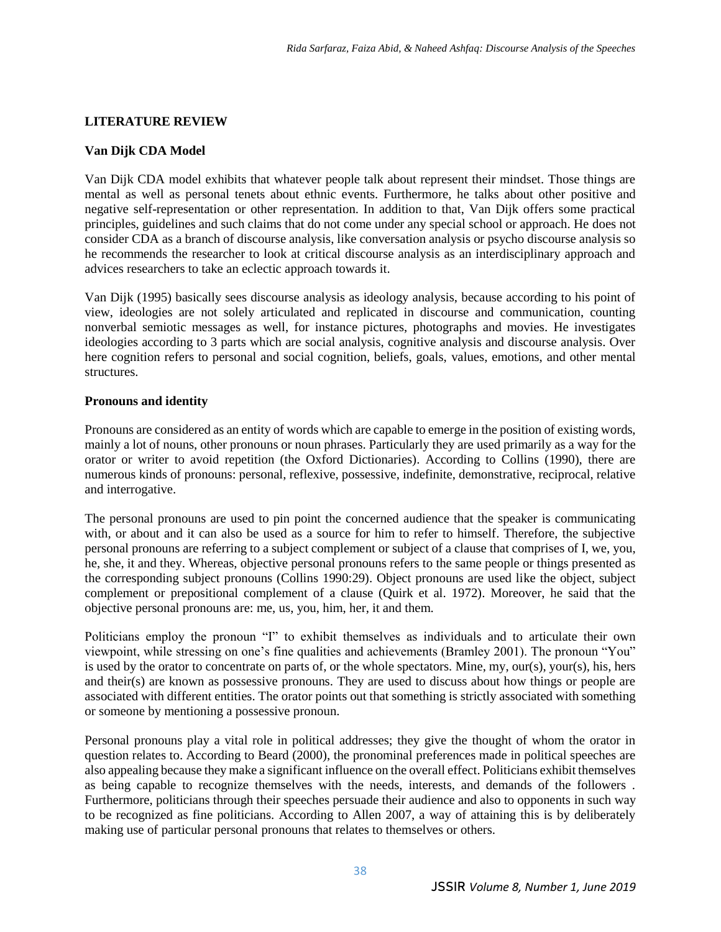### **LITERATURE REVIEW**

### **Van Dijk CDA Model**

Van Dijk CDA model exhibits that whatever people talk about represent their mindset. Those things are mental as well as personal tenets about ethnic events. Furthermore, he talks about other positive and negative self-representation or other representation. In addition to that, Van Dijk offers some practical principles, guidelines and such claims that do not come under any special school or approach. He does not consider CDA as a branch of discourse analysis, like conversation analysis or psycho discourse analysis so he recommends the researcher to look at critical discourse analysis as an interdisciplinary approach and advices researchers to take an eclectic approach towards it.

Van Dijk (1995) basically sees discourse analysis as ideology analysis, because according to his point of view, ideologies are not solely articulated and replicated in discourse and communication, counting nonverbal semiotic messages as well, for instance pictures, photographs and movies. He investigates ideologies according to 3 parts which are social analysis, cognitive analysis and discourse analysis. Over here cognition refers to personal and social cognition, beliefs, goals, values, emotions, and other mental structures.

### **Pronouns and identity**

Pronouns are considered as an entity of words which are capable to emerge in the position of existing words, mainly a lot of nouns, other pronouns or noun phrases. Particularly they are used primarily as a way for the orator or writer to avoid repetition (the Oxford Dictionaries). According to Collins (1990), there are numerous kinds of pronouns: personal, reflexive, possessive, indefinite, demonstrative, reciprocal, relative and interrogative.

The personal pronouns are used to pin point the concerned audience that the speaker is communicating with, or about and it can also be used as a source for him to refer to himself. Therefore, the subjective personal pronouns are referring to a subject complement or subject of a clause that comprises of I, we, you, he, she, it and they. Whereas, objective personal pronouns refers to the same people or things presented as the corresponding subject pronouns (Collins 1990:29). Object pronouns are used like the object, subject complement or prepositional complement of a clause (Quirk et al. 1972). Moreover, he said that the objective personal pronouns are: me, us, you, him, her, it and them.

Politicians employ the pronoun "I" to exhibit themselves as individuals and to articulate their own viewpoint, while stressing on one's fine qualities and achievements (Bramley 2001). The pronoun "You" is used by the orator to concentrate on parts of, or the whole spectators. Mine, my, our(s), your(s), his, hers and their(s) are known as possessive pronouns. They are used to discuss about how things or people are associated with different entities. The orator points out that something is strictly associated with something or someone by mentioning a possessive pronoun.

Personal pronouns play a vital role in political addresses; they give the thought of whom the orator in question relates to. According to Beard (2000), the pronominal preferences made in political speeches are also appealing because they make a significant influence on the overall effect. Politicians exhibit themselves as being capable to recognize themselves with the needs, interests, and demands of the followers . Furthermore, politicians through their speeches persuade their audience and also to opponents in such way to be recognized as fine politicians. According to Allen 2007, a way of attaining this is by deliberately making use of particular personal pronouns that relates to themselves or others.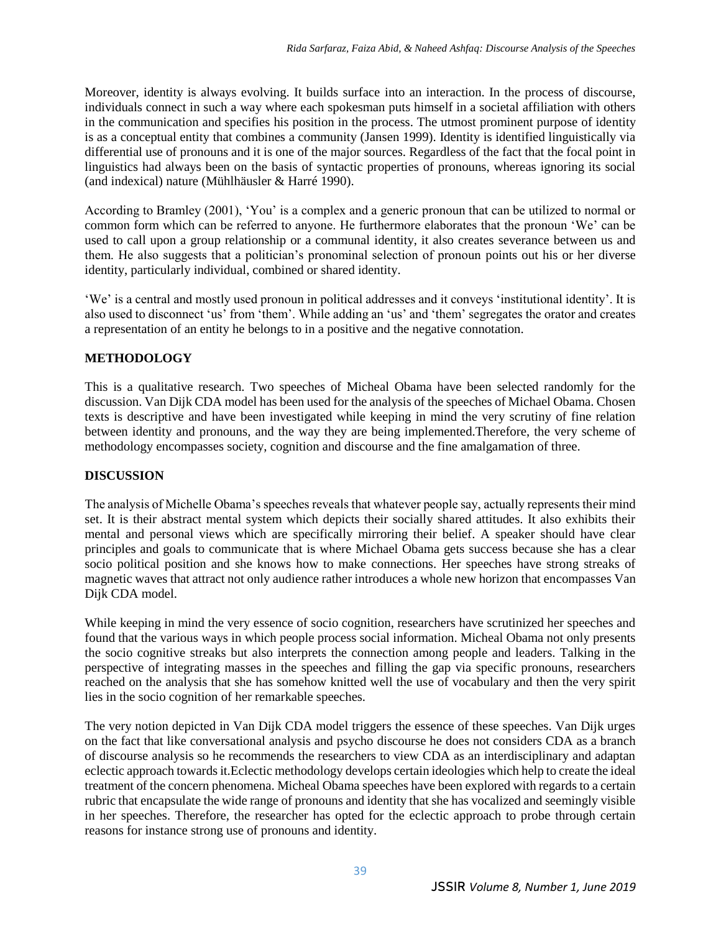Moreover, identity is always evolving. It builds surface into an interaction. In the process of discourse, individuals connect in such a way where each spokesman puts himself in a societal affiliation with others in the communication and specifies his position in the process. The utmost prominent purpose of identity is as a conceptual entity that combines a community (Jansen 1999). Identity is identified linguistically via differential use of pronouns and it is one of the major sources. Regardless of the fact that the focal point in linguistics had always been on the basis of syntactic properties of pronouns, whereas ignoring its social (and indexical) nature (Mühlhäusler & Harré 1990).

According to Bramley (2001), 'You' is a complex and a generic pronoun that can be utilized to normal or common form which can be referred to anyone. He furthermore elaborates that the pronoun 'We' can be used to call upon a group relationship or a communal identity, it also creates severance between us and them. He also suggests that a politician's pronominal selection of pronoun points out his or her diverse identity, particularly individual, combined or shared identity.

'We' is a central and mostly used pronoun in political addresses and it conveys 'institutional identity'. It is also used to disconnect 'us' from 'them'. While adding an 'us' and 'them' segregates the orator and creates a representation of an entity he belongs to in a positive and the negative connotation.

## **METHODOLOGY**

This is a qualitative research. Two speeches of Micheal Obama have been selected randomly for the discussion. Van Dijk CDA model has been used for the analysis of the speeches of Michael Obama. Chosen texts is descriptive and have been investigated while keeping in mind the very scrutiny of fine relation between identity and pronouns, and the way they are being implemented.Therefore, the very scheme of methodology encompasses society, cognition and discourse and the fine amalgamation of three.

### **DISCUSSION**

The analysis of Michelle Obama's speeches reveals that whatever people say, actually represents their mind set. It is their abstract mental system which depicts their socially shared attitudes. It also exhibits their mental and personal views which are specifically mirroring their belief. A speaker should have clear principles and goals to communicate that is where Michael Obama gets success because she has a clear socio political position and she knows how to make connections. Her speeches have strong streaks of magnetic waves that attract not only audience rather introduces a whole new horizon that encompasses Van Dijk CDA model.

While keeping in mind the very essence of socio cognition, researchers have scrutinized her speeches and found that the various ways in which people process social information. Micheal Obama not only presents the socio cognitive streaks but also interprets the connection among people and leaders. Talking in the perspective of integrating masses in the speeches and filling the gap via specific pronouns, researchers reached on the analysis that she has somehow knitted well the use of vocabulary and then the very spirit lies in the socio cognition of her remarkable speeches.

The very notion depicted in Van Dijk CDA model triggers the essence of these speeches. Van Dijk urges on the fact that like conversational analysis and psycho discourse he does not considers CDA as a branch of discourse analysis so he recommends the researchers to view CDA as an interdisciplinary and adaptan eclectic approach towards it.Eclectic methodology develops certain ideologies which help to create the ideal treatment of the concern phenomena. Micheal Obama speeches have been explored with regards to a certain rubric that encapsulate the wide range of pronouns and identity that she has vocalized and seemingly visible in her speeches. Therefore, the researcher has opted for the eclectic approach to probe through certain reasons for instance strong use of pronouns and identity.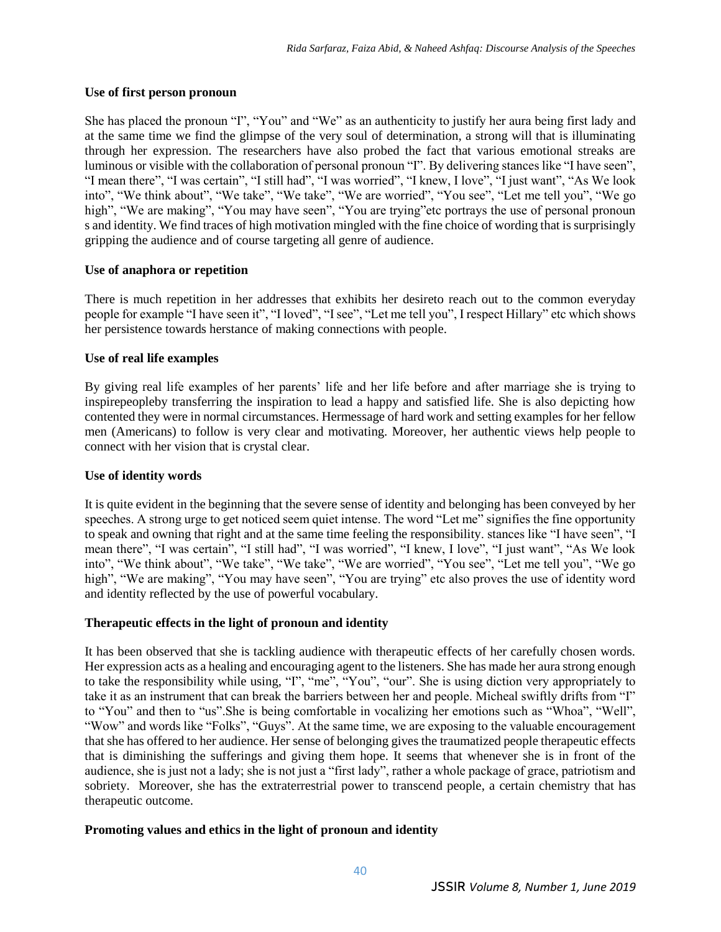#### **Use of first person pronoun**

She has placed the pronoun "I", "You" and "We" as an authenticity to justify her aura being first lady and at the same time we find the glimpse of the very soul of determination, a strong will that is illuminating through her expression. The researchers have also probed the fact that various emotional streaks are luminous or visible with the collaboration of personal pronoun "I". By delivering stances like "I have seen", "I mean there", "I was certain", "I still had", "I was worried", "I knew, I love", "I just want", "As We look into", "We think about", "We take", "We take", "We are worried", "You see", "Let me tell you", "We go high", "We are making", "You may have seen", "You are trying" etc portrays the use of personal pronoun s and identity. We find traces of high motivation mingled with the fine choice of wording that is surprisingly gripping the audience and of course targeting all genre of audience.

### **Use of anaphora or repetition**

There is much repetition in her addresses that exhibits her desireto reach out to the common everyday people for example "I have seen it", "I loved", "I see", "Let me tell you", I respect Hillary" etc which shows her persistence towards herstance of making connections with people.

#### **Use of real life examples**

By giving real life examples of her parents' life and her life before and after marriage she is trying to inspirepeopleby transferring the inspiration to lead a happy and satisfied life. She is also depicting how contented they were in normal circumstances. Hermessage of hard work and setting examples for her fellow men (Americans) to follow is very clear and motivating. Moreover, her authentic views help people to connect with her vision that is crystal clear.

### **Use of identity words**

It is quite evident in the beginning that the severe sense of identity and belonging has been conveyed by her speeches. A strong urge to get noticed seem quiet intense. The word "Let me" signifies the fine opportunity to speak and owning that right and at the same time feeling the responsibility. stances like "I have seen", "I mean there", "I was certain", "I still had", "I was worried", "I knew, I love", "I just want", "As We look into", "We think about", "We take", "We take", "We are worried", "You see", "Let me tell you", "We go high", "We are making", "You may have seen", "You are trying" etc also proves the use of identity word and identity reflected by the use of powerful vocabulary.

### **Therapeutic effects in the light of pronoun and identity**

It has been observed that she is tackling audience with therapeutic effects of her carefully chosen words. Her expression acts as a healing and encouraging agent to the listeners. She has made her aura strong enough to take the responsibility while using, "I", "me", "You", "our". She is using diction very appropriately to take it as an instrument that can break the barriers between her and people. Micheal swiftly drifts from "I" to "You" and then to "us".She is being comfortable in vocalizing her emotions such as "Whoa", "Well", "Wow" and words like "Folks", "Guys". At the same time, we are exposing to the valuable encouragement that she has offered to her audience. Her sense of belonging gives the traumatized people therapeutic effects that is diminishing the sufferings and giving them hope. It seems that whenever she is in front of the audience, she is just not a lady; she is not just a "first lady", rather a whole package of grace, patriotism and sobriety. Moreover, she has the extraterrestrial power to transcend people, a certain chemistry that has therapeutic outcome.

### **Promoting values and ethics in the light of pronoun and identity**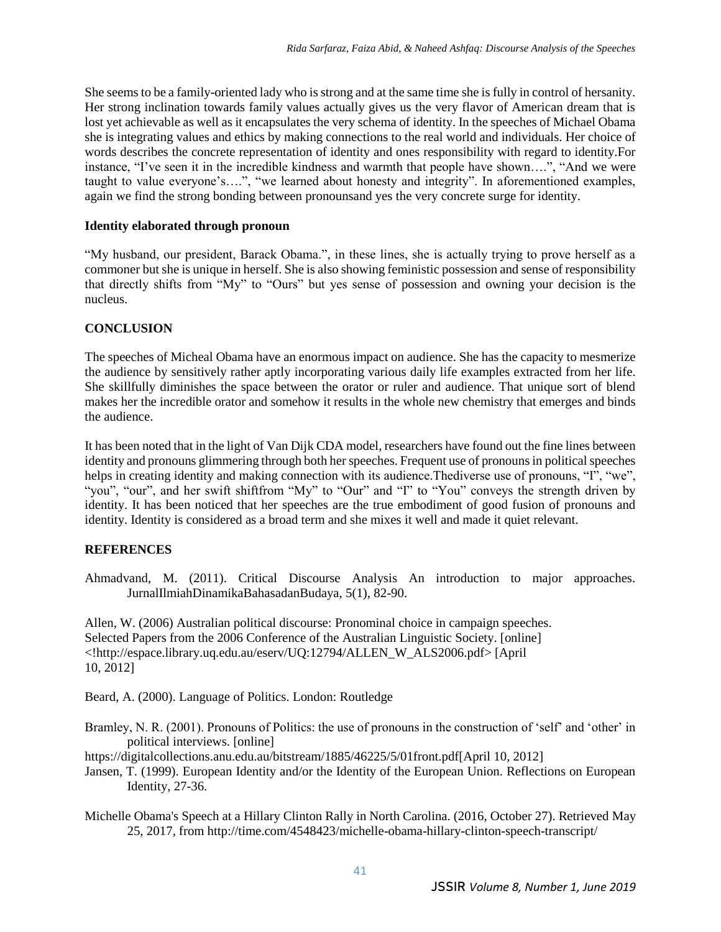She seems to be a family-oriented lady who is strong and at the same time she is fully in control of hersanity. Her strong inclination towards family values actually gives us the very flavor of American dream that is lost yet achievable as well as it encapsulates the very schema of identity. In the speeches of Michael Obama she is integrating values and ethics by making connections to the real world and individuals. Her choice of words describes the concrete representation of identity and ones responsibility with regard to identity.For instance, "I've seen it in the incredible kindness and warmth that people have shown….", "And we were taught to value everyone's….", "we learned about honesty and integrity". In aforementioned examples, again we find the strong bonding between pronounsand yes the very concrete surge for identity.

### **Identity elaborated through pronoun**

"My husband, our president, Barack Obama.", in these lines, she is actually trying to prove herself as a commoner but she is unique in herself. She is also showing feministic possession and sense of responsibility that directly shifts from "My" to "Ours" but yes sense of possession and owning your decision is the nucleus.

## **CONCLUSION**

The speeches of Micheal Obama have an enormous impact on audience. She has the capacity to mesmerize the audience by sensitively rather aptly incorporating various daily life examples extracted from her life. She skillfully diminishes the space between the orator or ruler and audience. That unique sort of blend makes her the incredible orator and somehow it results in the whole new chemistry that emerges and binds the audience.

It has been noted that in the light of Van Dijk CDA model, researchers have found out the fine lines between identity and pronouns glimmering through both her speeches. Frequent use of pronouns in political speeches helps in creating identity and making connection with its audience. The diverse use of pronouns, "I", "we", "you", "our", and her swift shiftfrom "My" to "Our" and "I" to "You" conveys the strength driven by identity. It has been noticed that her speeches are the true embodiment of good fusion of pronouns and identity. Identity is considered as a broad term and she mixes it well and made it quiet relevant.

# **REFERENCES**

Ahmadvand, M. (2011). Critical Discourse Analysis An introduction to major approaches. JurnalIlmiahDinamikaBahasadanBudaya, 5(1), 82-90.

Allen, W. (2006) Australian political discourse: Pronominal choice in campaign speeches. Selected Papers from the 2006 Conference of the Australian Linguistic Society. [online] <!http://espace.library.uq.edu.au/eserv/UQ:12794/ALLEN\_W\_ALS2006.pdf> [April 10, 2012]

Beard, A. (2000). Language of Politics. London: Routledge

- Bramley, N. R. (2001). Pronouns of Politics: the use of pronouns in the construction of 'self' and 'other' in political interviews. [online]
- https://digitalcollections.anu.edu.au/bitstream/1885/46225/5/01front.pdf[April 10, 2012]
- Jansen, T. (1999). European Identity and/or the Identity of the European Union. Reflections on European Identity, 27-36.
- Michelle Obama's Speech at a Hillary Clinton Rally in North Carolina. (2016, October 27). Retrieved May 25, 2017, from http://time.com/4548423/michelle-obama-hillary-clinton-speech-transcript/